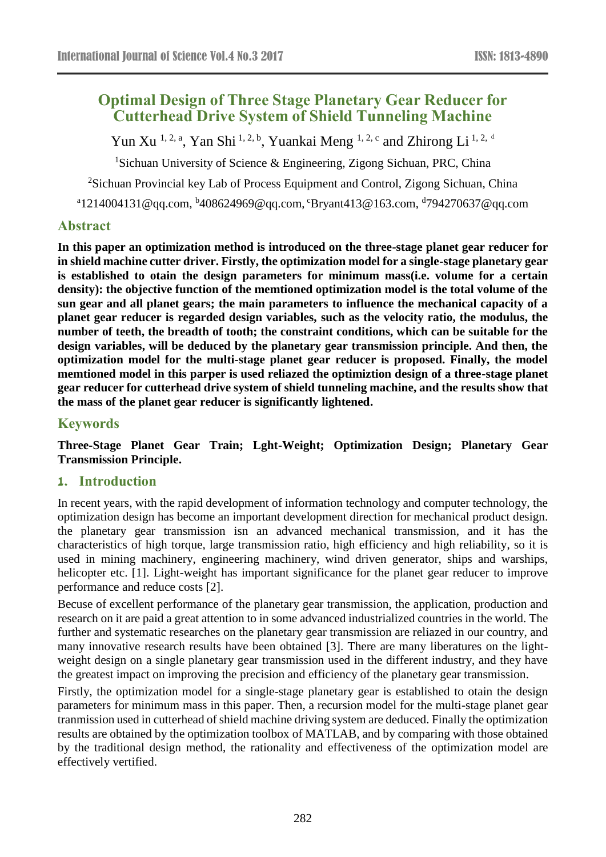# **Optimal Design of Three Stage Planetary Gear Reducer for Cutterhead Drive System of Shield Tunneling Machine**

Yun Xu<sup>1, 2, a</sup>, Yan Shi<sup>1, 2, b</sup>, Yuankai Meng<sup>1, 2, c</sup> and Zhirong Li<sup>1, 2, d</sup>

<sup>1</sup>Sichuan University of Science & Engineering, Zigong Sichuan, PRC, China

<sup>2</sup>Sichuan Provincial key Lab of Process Equipment and Control, Zigong Sichuan, China

<sup>a</sup>1214004131@qq.com, <sup>b</sup>408624969@qq.com, <sup>c</sup>Bryant413@163.com, <sup>d</sup>794270637@qq.com

### **Abstract**

**In this paper an optimization method is introduced on the three-stage planet gear reducer for in shield machine cutter driver. Firstly, the optimization model for a single-stage planetary gear is established to otain the design parameters for minimum mass(i.e. volume for a certain density): the objective function of the memtioned optimization model is the total volume of the sun gear and all planet gears; the main parameters to influence the mechanical capacity of a planet gear reducer is regarded design variables, such as the velocity ratio, the modulus, the number of teeth, the breadth of tooth; the constraint conditions, which can be suitable for the design variables, will be deduced by the planetary gear transmission principle. And then, the optimization model for the multi-stage planet gear reducer is proposed. Finally, the model memtioned model in this parper is used reliazed the optimiztion design of a three-stage planet gear reducer for cutterhead drive system of shield tunneling machine, and the results show that the mass of the planet gear reducer is significantly lightened.**

### **Keywords**

**Three-Stage Planet Gear Train; Lght-Weight; Optimization Design; Planetary Gear Transmission Principle.**

#### **1. Introduction**

In recent years, with the rapid development of information technology and computer technology, the optimization design has become an important development direction for mechanical product design. the planetary gear transmission isn an advanced mechanical transmission, and it has the characteristics of high torque, large transmission ratio, high efficiency and high reliability, so it is used in mining machinery, engineering machinery, wind driven generator, ships and warships, helicopter etc. [1]. Light-weight has important significance for the planet gear reducer to improve performance and reduce costs [2].

Becuse of excellent performance of the planetary gear transmission, the application, production and research on it are paid a great attention to in some advanced industrialized countries in the world. The further and systematic researches on the planetary gear transmission are reliazed in our country, and many innovative research results have been obtained [3]. There are many liberatures on the lightweight design on a single planetary gear transmission used in the different industry, and they have the greatest impact on improving the precision and efficiency of the planetary gear transmission.

Firstly, the optimization model for a single-stage planetary gear is established to otain the design parameters for minimum mass in this paper. Then, a recursion model for the multi-stage planet gear tranmission used in cutterhead of shield machine driving system are deduced. Finally the optimization results are obtained by the optimization toolbox of MATLAB, and by comparing with those obtained by the traditional design method, the rationality and effectiveness of the optimization model are effectively vertified.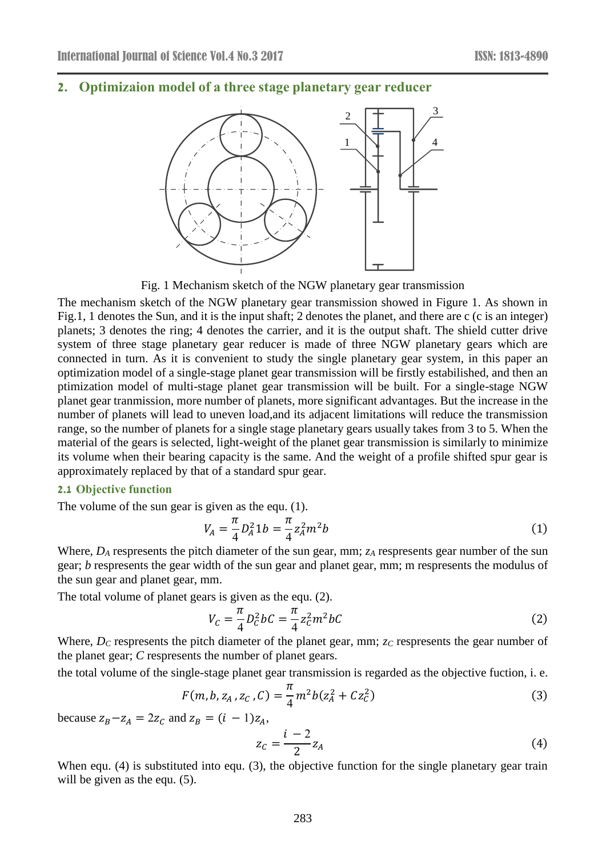### **2. Optimizaion model of a three stage planetary gear reducer**



Fig. 1 Mechanism sketch of the NGW planetary gear transmission

The mechanism sketch of the NGW planetary gear transmission showed in Figure 1. As shown in Fig.1, 1 denotes the Sun, and it is the input shaft; 2 denotes the planet, and there are c (c is an integer) planets; 3 denotes the ring; 4 denotes the carrier, and it is the output shaft. The shield cutter drive system of three stage planetary gear reducer is made of three NGW planetary gears which are connected in turn. As it is convenient to study the single planetary gear system, in this paper an optimization model of a single-stage planet gear transmission will be firstly estabilished, and then an ptimization model of multi-stage planet gear transmission will be built. For a single-stage NGW planet gear tranmission, more number of planets, more significant advantages. But the increase in the number of planets will lead to uneven load,and its adjacent limitations will reduce the transmission range, so the number of planets for a single stage planetary gears usually takes from 3 to 5. When the material of the gears is selected, light-weight of the planet gear transmission is similarly to minimize its volume when their bearing capacity is the same. And the weight of a profile shifted spur gear is approximately replaced by that of a standard spur gear.

#### **2.1 Objective function**

The volume of the sun gear is given as the equ. (1).

$$
V_A = \frac{\pi}{4} D_A^2 1b = \frac{\pi}{4} z_A^2 m^2 b \tag{1}
$$

Where,  $D_A$  respresents the pitch diameter of the sun gear, mm; *z*<sub>*A*</sub> respresents gear number of the sun gear; *b* respresents the gear width of the sun gear and planet gear, mm; m respresents the modulus of the sun gear and planet gear, mm.

The total volume of planet gears is given as the equ. (2).

$$
V_C = \frac{\pi}{4} D_C^2 bC = \frac{\pi}{4} z_C^2 m^2 bC \tag{2}
$$

Where, *D<sub>C</sub>* respresents the pitch diameter of the planet gear, mm; *z<sub>C</sub>* respresents the gear number of the planet gear; *C* respresents the number of planet gears.

the total volume of the single-stage planet gear transmission is regarded as the objective fuction, i. e.

$$
F(m, b, z_A, z_C, C) = \frac{\pi}{4} m^2 b (z_A^2 + C z_C^2)
$$
 (3)

because  $z_B - z_A = 2z_C$  and  $z_B = (i - 1)z_A$ ,

$$
z_C = \frac{i-2}{2} z_A \tag{4}
$$

When equ. (4) is substituted into equ. (3), the objective function for the single planetary gear train will be given as the equ.  $(5)$ .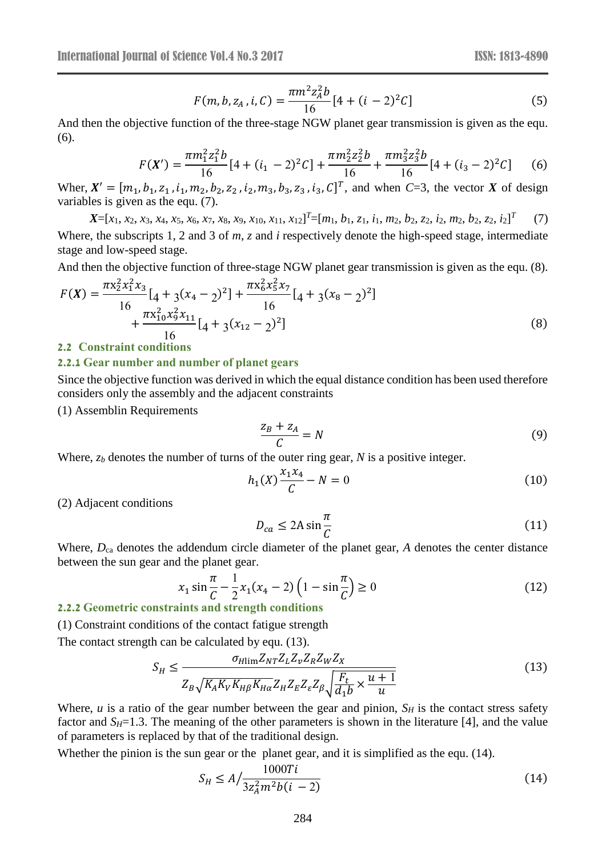$$
F(m, b, z_A, i, C) = \frac{\pi m^2 z_A^2 b}{16} [4 + (i - 2)^2 C]
$$
 (5)

And then the objective function of the three-stage NGW planet gear transmission is given as the equ. (6).

$$
F(X') = \frac{\pi m_1^2 z_1^2 b}{16} [4 + (i_1 - 2)^2 C] + \frac{\pi m_2^2 z_2^2 b}{16} + \frac{\pi m_3^2 z_3^2 b}{16} [4 + (i_3 - 2)^2 C] \tag{6}
$$

Wher,  $X' = [m_1, b_1, z_1, i_1, m_2, b_2, z_2, i_2, m_3, b_3, z_3, i_3, C]^T$ , and when *C*=3, the vector *X* of design variables is given as the equ. (7).

 $X=[x_1, x_2, x_3, x_4, x_5, x_6, x_7, x_8, x_9, x_{10}, x_{11}, x_{12}]^T=[m_1, b_1, z_1, i_1, m_2, b_2, z_2, i_2, m_2, b_2, z_2, i_2]^T$  (7) Where, the subscripts 1, 2 and 3 of *m*, *z* and *i* respectively denote the high-speed stage, intermediate stage and low-speed stage.

And then the objective function of three-stage NGW planet gear transmission is given as the equ. (8).

$$
F(X) = \frac{\pi x_2^2 x_1^2 x_3}{16} [4 + 3(x_4 - 2)^2] + \frac{\pi x_6^2 x_5^2 x_7}{16} [4 + 3(x_8 - 2)^2] + \frac{\pi x_{10}^2 x_9^2 x_{11}}{16} [4 + 3(x_{12} - 2)^2]
$$
(8)

#### **2.2 Constraint conditions**

#### **2.2.1 Gear number and number of planet gears**

Since the objective function was derived in which the equal distance condition has been used therefore considers only the assembly and the adjacent constraints

(1) Assemblin Requirements

$$
\frac{Z_B + Z_A}{C} = N \tag{9}
$$

Where,  $z_b$  denotes the number of turns of the outer ring gear, *N* is a positive integer.

$$
h_1(X)\frac{x_1x_4}{C} - N = 0\tag{10}
$$

(2) Adjacent conditions

$$
D_{ca} \le 2A \sin \frac{\pi}{C} \tag{11}
$$

Where,  $D_{ca}$  denotes the addendum circle diameter of the planet gear, *A* denotes the center distance between the sun gear and the planet gear.

$$
x_1 \sin \frac{\pi}{C} - \frac{1}{2} x_1 (x_4 - 2) \left( 1 - \sin \frac{\pi}{C} \right) \ge 0
$$
\n(12)

#### **2.2.2 Geometric constraints and strength conditions**

(1) Constraint conditions of the contact fatigue strength

The contact strength can be calculated by equ. (13).

$$
S_H \le \frac{\sigma_{H\text{lim}} Z_{NT} Z_L Z_v Z_R Z_W Z_X}{Z_B \sqrt{K_A K_V K_{H\beta} K_{H\alpha}} Z_H Z_E Z_\varepsilon Z_\beta \sqrt{\frac{F_t}{d_1 b} \times \frac{u+1}{u}}}
$$
(13)

Where, *u* is a ratio of the gear number between the gear and pinion,  $S_H$  is the contact stress safety factor and  $S_H=1.3$ . The meaning of the other parameters is shown in the literature [4], and the value of parameters is replaced by that of the [traditional](javascript:void(0);) [design.](javascript:void(0);)

Whether the pinion is the sun gear or the planet gear, and it is simplified as the equ. (14).

$$
S_H \le A / \frac{1000Ti}{3z_A^2 m^2 b(i-2)}
$$
 (14)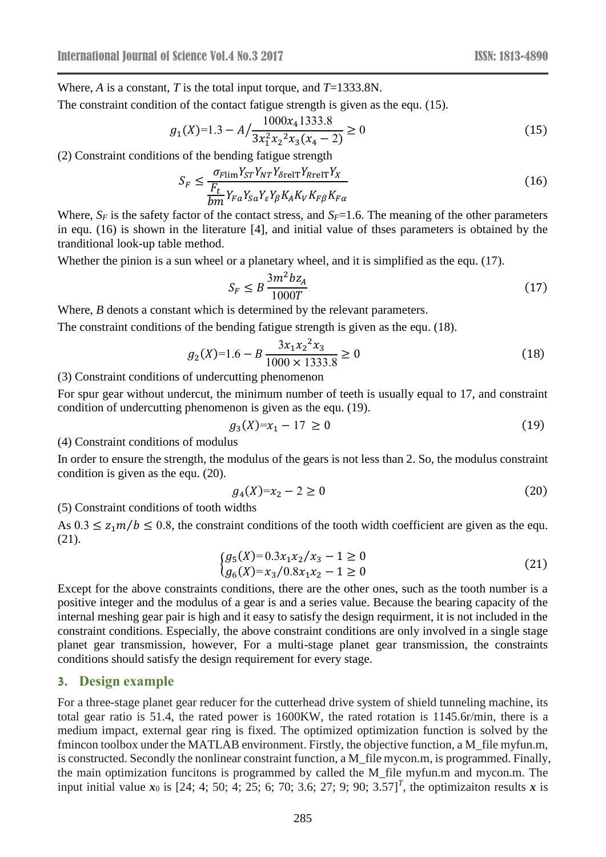Where, *A* is a constant, *T* is the total input torque, and *T*=1333.8N.

The constraint condition of the contact fatigue strength is given as the equ. (15).

$$
g_1(X)=1.3 - A / \frac{1000x_4 1333.8}{3x_1^2 x_2^2 x_3 (x_4 - 2)} \ge 0
$$
\n(15)

(2) Constraint conditions of the bending fatigue strength

$$
S_F \le \frac{\sigma_{F\lim} Y_{ST} Y_{NT} Y_{\delta \text{relT}} Y_{R \text{relT}} Y_X}{\frac{F_t}{bm} Y_{Fa} Y_{SA} Y_s Y_{\beta} K_A K_V K_{FB} K_{Fa}}\tag{16}
$$

Where,  $S_F$  is the safety factor of the contact stress, and  $S_F$ =1.6. The meaning of the other parameters in equ. (16) is shown in the literature [4], and initial value of thses parameters is obtained by the tranditional look-up table method.

Whether the pinion is a sun wheel or a planetary wheel, and it is simplified as the equ. (17).

$$
S_F \le B \frac{3m^2 b z_A}{1000T} \tag{17}
$$

Where, *B* denots a constant which is determined by the relevant parameters.

The constraint conditions of the bending fatigue strength is given as the equ. (18).

$$
g_2(X)=1.6 - B \frac{3x_1x_2^2x_3}{1000 \times 1333.8} \ge 0
$$
\n(18)

(3) Constraint conditions of undercutting phenomenon

For spur gear without undercut, the minimum number of teeth is usually equal to 17, and constraint condition of undercutting phenomenon is given as the equ. (19).

$$
g_3(X)=x_1 - 17 \ge 0 \tag{19}
$$

(4) Constraint conditions of modulus

In order to ensure the strength, the modulus of the gears is not less than 2. So, the modulus constraint condition is given as the equ. (20).

$$
g_4(X)=x_2-2\geq 0\tag{20}
$$

(5) Constraint conditions of tooth widths

As  $0.3 \le z_1 m/b \le 0.8$ , the constraint conditions of the tooth width coefficient are given as the equ. (21).

$$
\begin{cases}\ng_5(X) = 0.3x_1x_2/x_3 - 1 \ge 0 \\
g_6(X) = x_3/0.8x_1x_2 - 1 \ge 0\n\end{cases}
$$
\n(21)

Except for the above constraints conditions, there are the other ones, such as the tooth number is a positive integer and the modulus of a gear is and a series value. Because the bearing capacity of the internal meshing gear pair is high and it easy to satisfy the design requirment, it is not included in the constraint conditions. Especially, the above constraint conditions are only involved in a single stage planet gear transmission, however, For a multi-stage planet gear transmission, the constraints conditions should satisfy the design requirement for every stage.

### **3. Design example**

For a three-stage planet gear reducer for the cutterhead drive system of shield tunneling machine, its total gear ratio is 51.4, the rated power is 1600KW, the rated rotation is 1145.6r/min, there is a medium impact, external gear ring is fixed. The optimized optimization function is solved by the fmincon toolbox under the MATLAB environment. Firstly, the objective function, a M\_file myfun.m, is constructed. Secondly the nonlinear constraint function, a M\_file mycon.m, is programmed. Finally, the main optimization funcitons is programmed by called the M\_file myfun.m and mycon.m. The input initial value  $x_0$  is [24; 4; 50; 4; 25; 6; 70; 3.6; 27; 9; 90; 3.57]<sup>T</sup>, the optimizaiton results x is